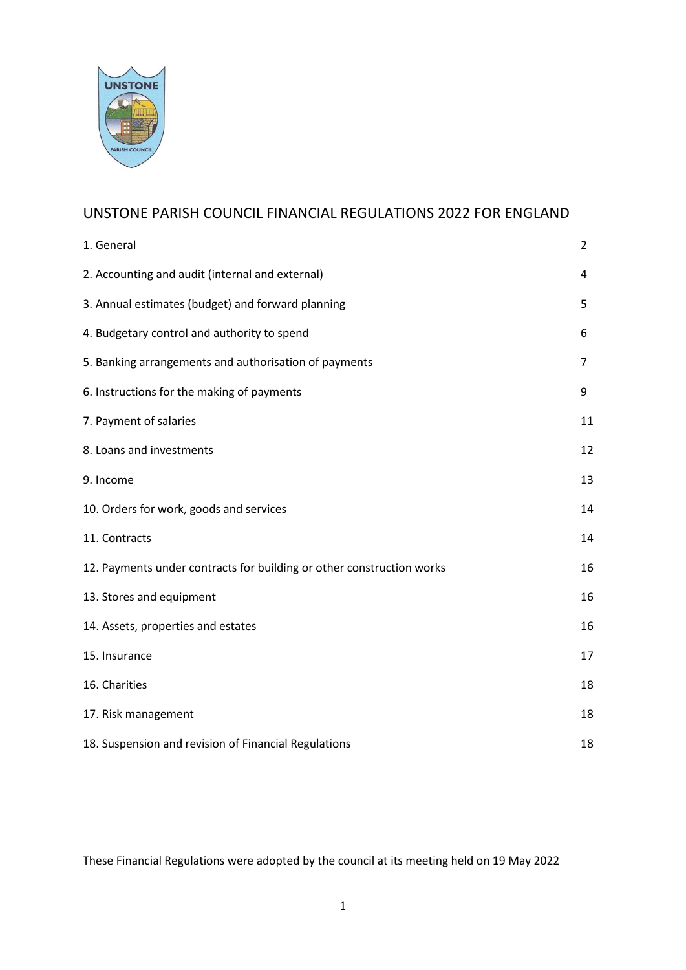

# UNSTONE PARISH COUNCIL FINANCIAL REGULATIONS 2022 FOR ENGLAND

| 1. General                                                            | $\overline{2}$ |
|-----------------------------------------------------------------------|----------------|
| 2. Accounting and audit (internal and external)                       | 4              |
| 3. Annual estimates (budget) and forward planning                     | 5              |
| 4. Budgetary control and authority to spend                           | 6              |
| 5. Banking arrangements and authorisation of payments                 | $\overline{7}$ |
| 6. Instructions for the making of payments                            | 9              |
| 7. Payment of salaries                                                | 11             |
| 8. Loans and investments                                              | 12             |
| 9. Income                                                             | 13             |
| 10. Orders for work, goods and services                               | 14             |
| 11. Contracts                                                         | 14             |
| 12. Payments under contracts for building or other construction works | 16             |
| 13. Stores and equipment                                              | 16             |
| 14. Assets, properties and estates                                    | 16             |
| 15. Insurance                                                         | 17             |
| 16. Charities                                                         | 18             |
| 17. Risk management                                                   | 18             |
| 18. Suspension and revision of Financial Regulations                  | 18             |

These Financial Regulations were adopted by the council at its meeting held on 19 May 2022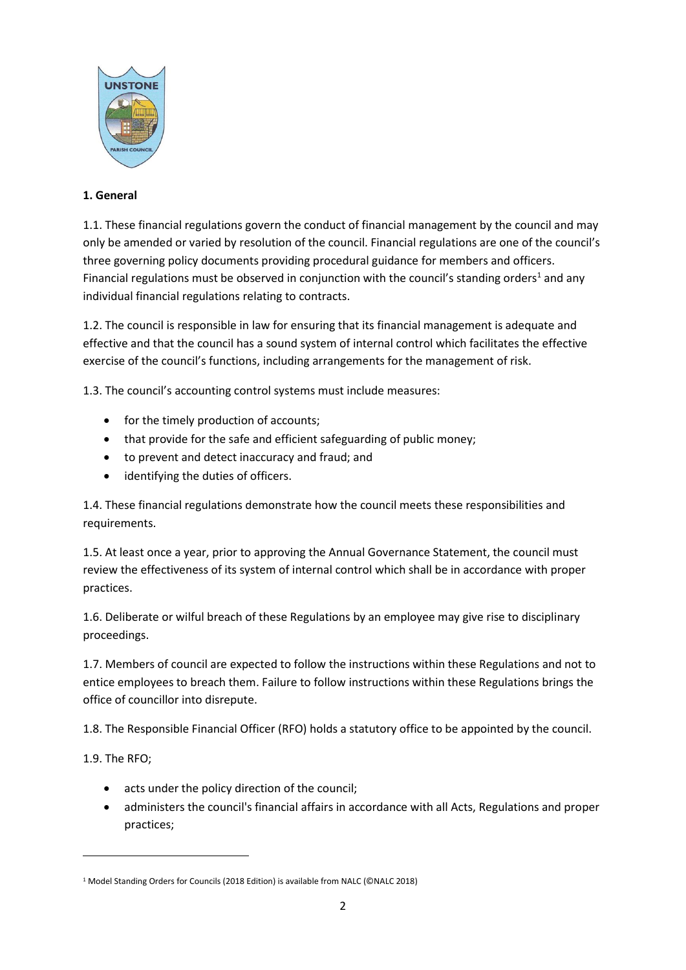

## **1. General**

1.1. These financial regulations govern the conduct of financial management by the council and may only be amended or varied by resolution of the council. Financial regulations are one of the council's three governing policy documents providing procedural guidance for members and officers. Financial regulations must be observed in conjunction with the council's standing orders<sup>1</sup> and any individual financial regulations relating to contracts.

1.2. The council is responsible in law for ensuring that its financial management is adequate and effective and that the council has a sound system of internal control which facilitates the effective exercise of the council's functions, including arrangements for the management of risk.

1.3. The council's accounting control systems must include measures:

- for the timely production of accounts;
- that provide for the safe and efficient safeguarding of public money;
- to prevent and detect inaccuracy and fraud; and
- identifying the duties of officers.

1.4. These financial regulations demonstrate how the council meets these responsibilities and requirements.

1.5. At least once a year, prior to approving the Annual Governance Statement, the council must review the effectiveness of its system of internal control which shall be in accordance with proper practices.

1.6. Deliberate or wilful breach of these Regulations by an employee may give rise to disciplinary proceedings.

1.7. Members of council are expected to follow the instructions within these Regulations and not to entice employees to breach them. Failure to follow instructions within these Regulations brings the office of councillor into disrepute.

1.8. The Responsible Financial Officer (RFO) holds a statutory office to be appointed by the council.

1.9. The RFO;

- acts under the policy direction of the council;
- administers the council's financial affairs in accordance with all Acts, Regulations and proper practices;

<sup>&</sup>lt;sup>1</sup> Model Standing Orders for Councils (2018 Edition) is available from NALC (©NALC 2018)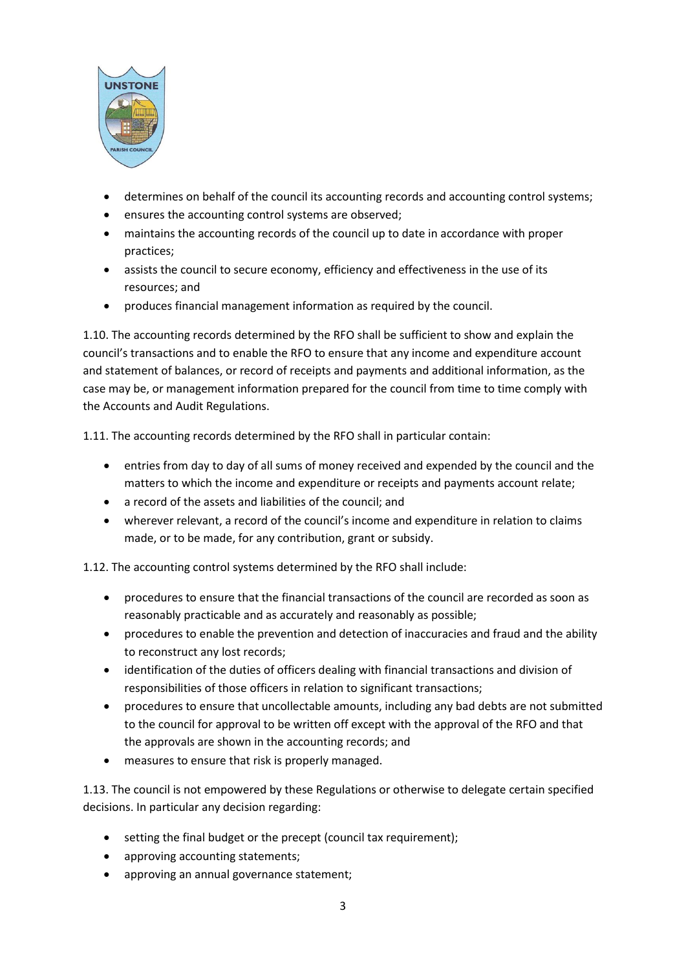

- determines on behalf of the council its accounting records and accounting control systems;
- ensures the accounting control systems are observed;
- maintains the accounting records of the council up to date in accordance with proper practices;
- assists the council to secure economy, efficiency and effectiveness in the use of its resources; and
- produces financial management information as required by the council.

1.10. The accounting records determined by the RFO shall be sufficient to show and explain the council's transactions and to enable the RFO to ensure that any income and expenditure account and statement of balances, or record of receipts and payments and additional information, as the case may be, or management information prepared for the council from time to time comply with the Accounts and Audit Regulations.

1.11. The accounting records determined by the RFO shall in particular contain:

- entries from day to day of all sums of money received and expended by the council and the matters to which the income and expenditure or receipts and payments account relate;
- a record of the assets and liabilities of the council; and
- wherever relevant, a record of the council's income and expenditure in relation to claims made, or to be made, for any contribution, grant or subsidy.

1.12. The accounting control systems determined by the RFO shall include:

- procedures to ensure that the financial transactions of the council are recorded as soon as reasonably practicable and as accurately and reasonably as possible;
- procedures to enable the prevention and detection of inaccuracies and fraud and the ability to reconstruct any lost records;
- identification of the duties of officers dealing with financial transactions and division of responsibilities of those officers in relation to significant transactions;
- procedures to ensure that uncollectable amounts, including any bad debts are not submitted to the council for approval to be written off except with the approval of the RFO and that the approvals are shown in the accounting records; and
- measures to ensure that risk is properly managed.

1.13. The council is not empowered by these Regulations or otherwise to delegate certain specified decisions. In particular any decision regarding:

- setting the final budget or the precept (council tax requirement);
- approving accounting statements;
- approving an annual governance statement;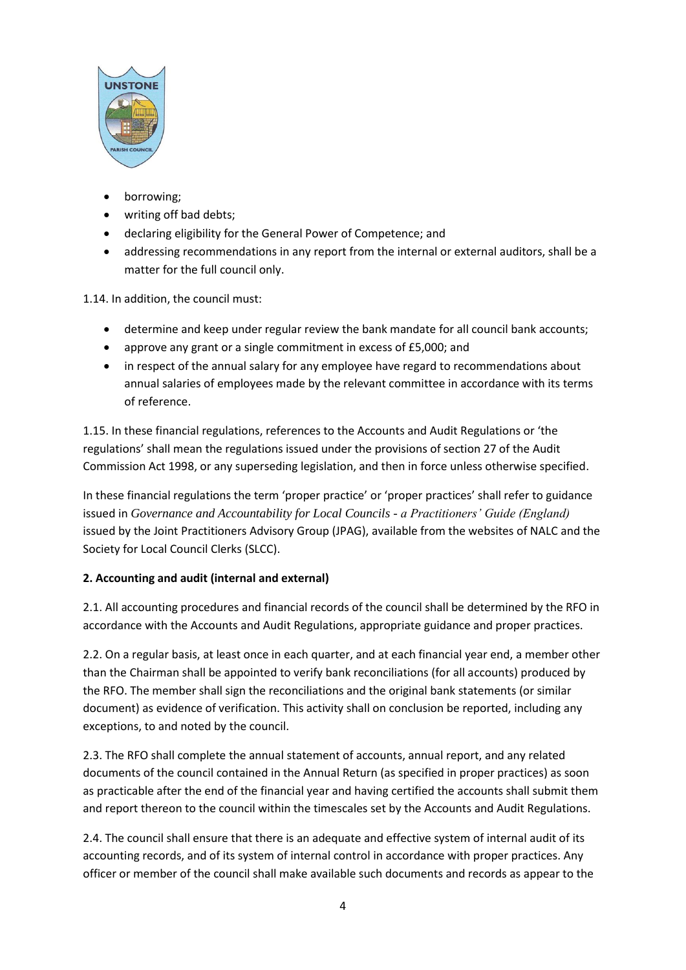

- borrowing;
- writing off bad debts;
- declaring eligibility for the General Power of Competence; and
- addressing recommendations in any report from the internal or external auditors, shall be a matter for the full council only.

1.14. In addition, the council must:

- determine and keep under regular review the bank mandate for all council bank accounts;
- approve any grant or a single commitment in excess of £5,000; and
- in respect of the annual salary for any employee have regard to recommendations about annual salaries of employees made by the relevant committee in accordance with its terms of reference.

1.15. In these financial regulations, references to the Accounts and Audit Regulations or 'the regulations' shall mean the regulations issued under the provisions of section 27 of the Audit Commission Act 1998, or any superseding legislation, and then in force unless otherwise specified.

In these financial regulations the term 'proper practice' or 'proper practices' shall refer to guidance issued in *Governance and Accountability for Local Councils - a Practitioners' Guide (England)* issued by the Joint Practitioners Advisory Group (JPAG), available from the websites of NALC and the Society for Local Council Clerks (SLCC).

# **2. Accounting and audit (internal and external)**

2.1. All accounting procedures and financial records of the council shall be determined by the RFO in accordance with the Accounts and Audit Regulations, appropriate guidance and proper practices.

2.2. On a regular basis, at least once in each quarter, and at each financial year end, a member other than the Chairman shall be appointed to verify bank reconciliations (for all accounts) produced by the RFO. The member shall sign the reconciliations and the original bank statements (or similar document) as evidence of verification. This activity shall on conclusion be reported, including any exceptions, to and noted by the council.

2.3. The RFO shall complete the annual statement of accounts, annual report, and any related documents of the council contained in the Annual Return (as specified in proper practices) as soon as practicable after the end of the financial year and having certified the accounts shall submit them and report thereon to the council within the timescales set by the Accounts and Audit Regulations.

2.4. The council shall ensure that there is an adequate and effective system of internal audit of its accounting records, and of its system of internal control in accordance with proper practices. Any officer or member of the council shall make available such documents and records as appear to the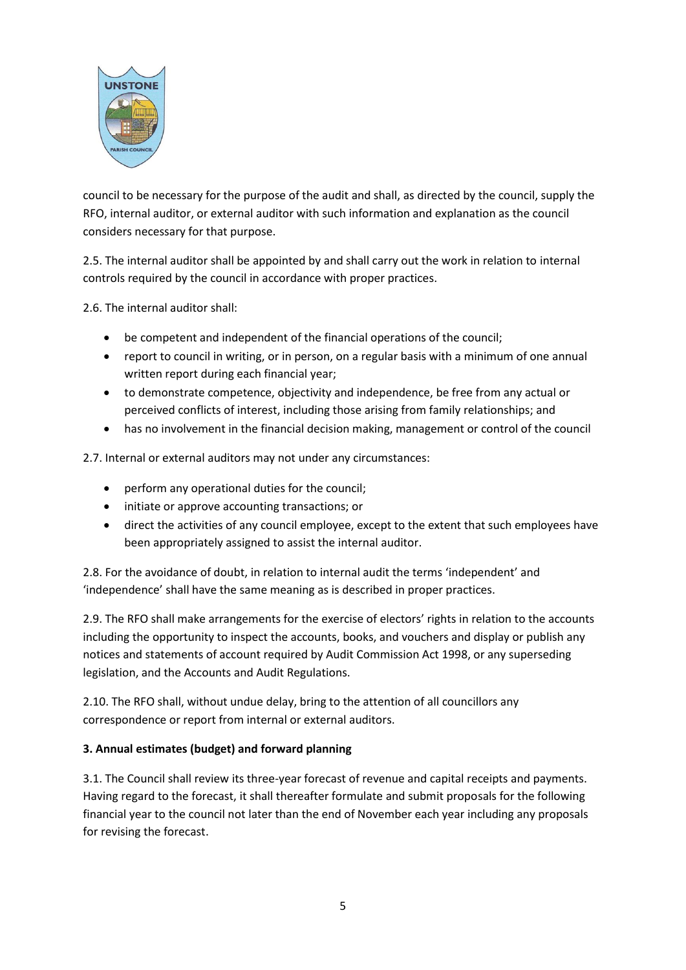

council to be necessary for the purpose of the audit and shall, as directed by the council, supply the RFO, internal auditor, or external auditor with such information and explanation as the council considers necessary for that purpose.

2.5. The internal auditor shall be appointed by and shall carry out the work in relation to internal controls required by the council in accordance with proper practices.

2.6. The internal auditor shall:

- be competent and independent of the financial operations of the council;
- report to council in writing, or in person, on a regular basis with a minimum of one annual written report during each financial year;
- to demonstrate competence, objectivity and independence, be free from any actual or perceived conflicts of interest, including those arising from family relationships; and
- has no involvement in the financial decision making, management or control of the council

2.7. Internal or external auditors may not under any circumstances:

- perform any operational duties for the council;
- initiate or approve accounting transactions; or
- direct the activities of any council employee, except to the extent that such employees have been appropriately assigned to assist the internal auditor.

2.8. For the avoidance of doubt, in relation to internal audit the terms 'independent' and 'independence' shall have the same meaning as is described in proper practices.

2.9. The RFO shall make arrangements for the exercise of electors' rights in relation to the accounts including the opportunity to inspect the accounts, books, and vouchers and display or publish any notices and statements of account required by Audit Commission Act 1998, or any superseding legislation, and the Accounts and Audit Regulations.

2.10. The RFO shall, without undue delay, bring to the attention of all councillors any correspondence or report from internal or external auditors.

## **3. Annual estimates (budget) and forward planning**

3.1. The Council shall review its three-year forecast of revenue and capital receipts and payments. Having regard to the forecast, it shall thereafter formulate and submit proposals for the following financial year to the council not later than the end of November each year including any proposals for revising the forecast.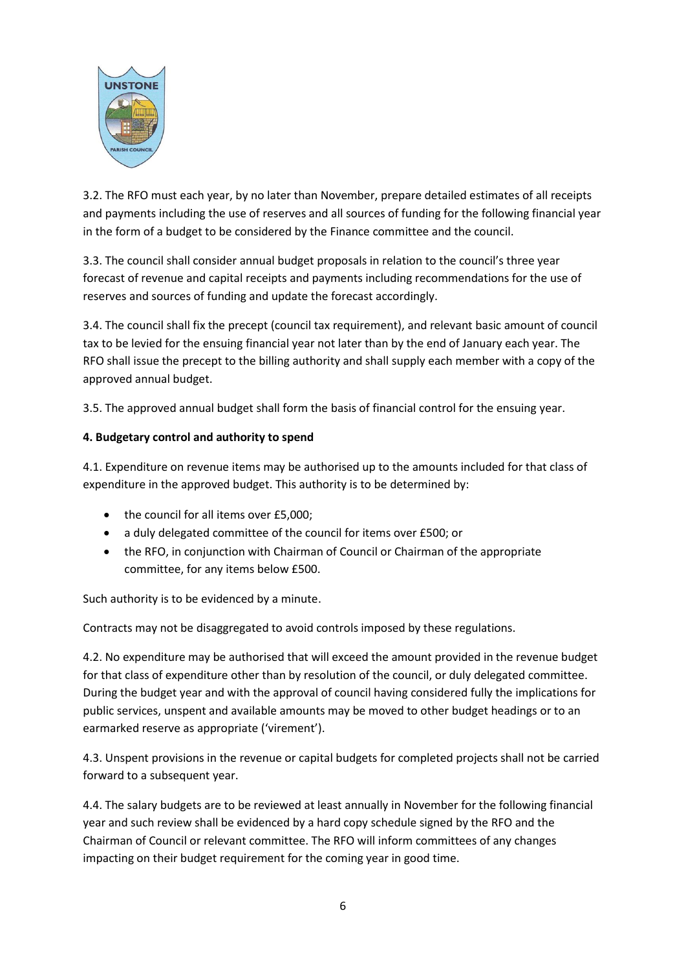

3.2. The RFO must each year, by no later than November, prepare detailed estimates of all receipts and payments including the use of reserves and all sources of funding for the following financial year in the form of a budget to be considered by the Finance committee and the council.

3.3. The council shall consider annual budget proposals in relation to the council's three year forecast of revenue and capital receipts and payments including recommendations for the use of reserves and sources of funding and update the forecast accordingly.

3.4. The council shall fix the precept (council tax requirement), and relevant basic amount of council tax to be levied for the ensuing financial year not later than by the end of January each year. The RFO shall issue the precept to the billing authority and shall supply each member with a copy of the approved annual budget.

3.5. The approved annual budget shall form the basis of financial control for the ensuing year.

## **4. Budgetary control and authority to spend**

4.1. Expenditure on revenue items may be authorised up to the amounts included for that class of expenditure in the approved budget. This authority is to be determined by:

- the council for all items over £5,000;
- a duly delegated committee of the council for items over £500; or
- the RFO, in conjunction with Chairman of Council or Chairman of the appropriate committee, for any items below £500.

Such authority is to be evidenced by a minute.

Contracts may not be disaggregated to avoid controls imposed by these regulations.

4.2. No expenditure may be authorised that will exceed the amount provided in the revenue budget for that class of expenditure other than by resolution of the council, or duly delegated committee. During the budget year and with the approval of council having considered fully the implications for public services, unspent and available amounts may be moved to other budget headings or to an earmarked reserve as appropriate ('virement').

4.3. Unspent provisions in the revenue or capital budgets for completed projects shall not be carried forward to a subsequent year.

4.4. The salary budgets are to be reviewed at least annually in November for the following financial year and such review shall be evidenced by a hard copy schedule signed by the RFO and the Chairman of Council or relevant committee. The RFO will inform committees of any changes impacting on their budget requirement for the coming year in good time.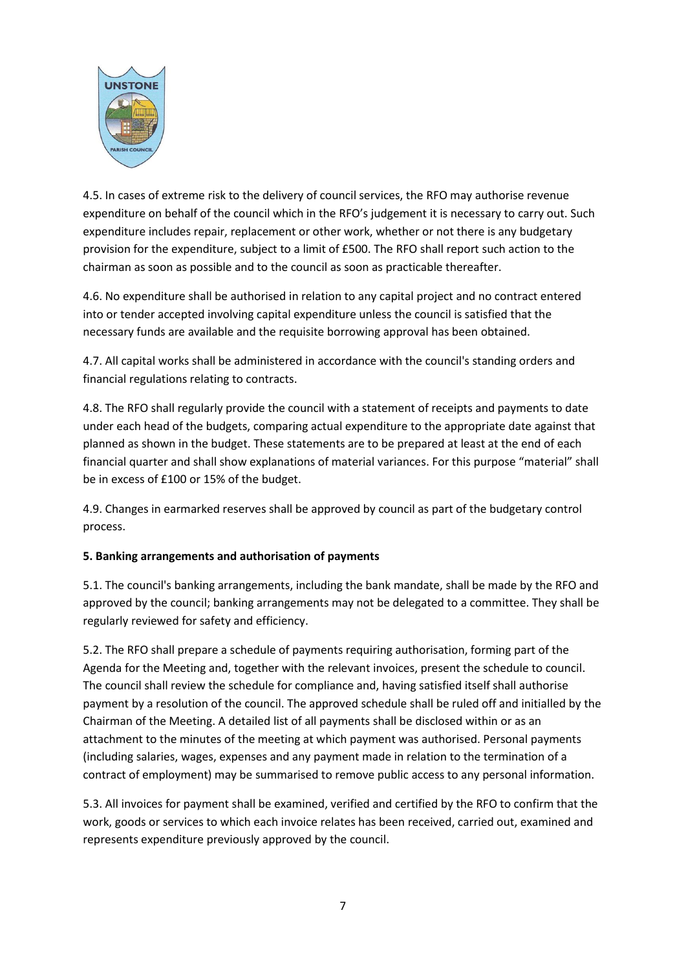

4.5. In cases of extreme risk to the delivery of council services, the RFO may authorise revenue expenditure on behalf of the council which in the RFO's judgement it is necessary to carry out. Such expenditure includes repair, replacement or other work, whether or not there is any budgetary provision for the expenditure, subject to a limit of £500. The RFO shall report such action to the chairman as soon as possible and to the council as soon as practicable thereafter.

4.6. No expenditure shall be authorised in relation to any capital project and no contract entered into or tender accepted involving capital expenditure unless the council is satisfied that the necessary funds are available and the requisite borrowing approval has been obtained.

4.7. All capital works shall be administered in accordance with the council's standing orders and financial regulations relating to contracts.

4.8. The RFO shall regularly provide the council with a statement of receipts and payments to date under each head of the budgets, comparing actual expenditure to the appropriate date against that planned as shown in the budget. These statements are to be prepared at least at the end of each financial quarter and shall show explanations of material variances. For this purpose "material" shall be in excess of £100 or 15% of the budget.

4.9. Changes in earmarked reserves shall be approved by council as part of the budgetary control process.

## **5. Banking arrangements and authorisation of payments**

5.1. The council's banking arrangements, including the bank mandate, shall be made by the RFO and approved by the council; banking arrangements may not be delegated to a committee. They shall be regularly reviewed for safety and efficiency.

5.2. The RFO shall prepare a schedule of payments requiring authorisation, forming part of the Agenda for the Meeting and, together with the relevant invoices, present the schedule to council. The council shall review the schedule for compliance and, having satisfied itself shall authorise payment by a resolution of the council. The approved schedule shall be ruled off and initialled by the Chairman of the Meeting. A detailed list of all payments shall be disclosed within or as an attachment to the minutes of the meeting at which payment was authorised. Personal payments (including salaries, wages, expenses and any payment made in relation to the termination of a contract of employment) may be summarised to remove public access to any personal information.

5.3. All invoices for payment shall be examined, verified and certified by the RFO to confirm that the work, goods or services to which each invoice relates has been received, carried out, examined and represents expenditure previously approved by the council.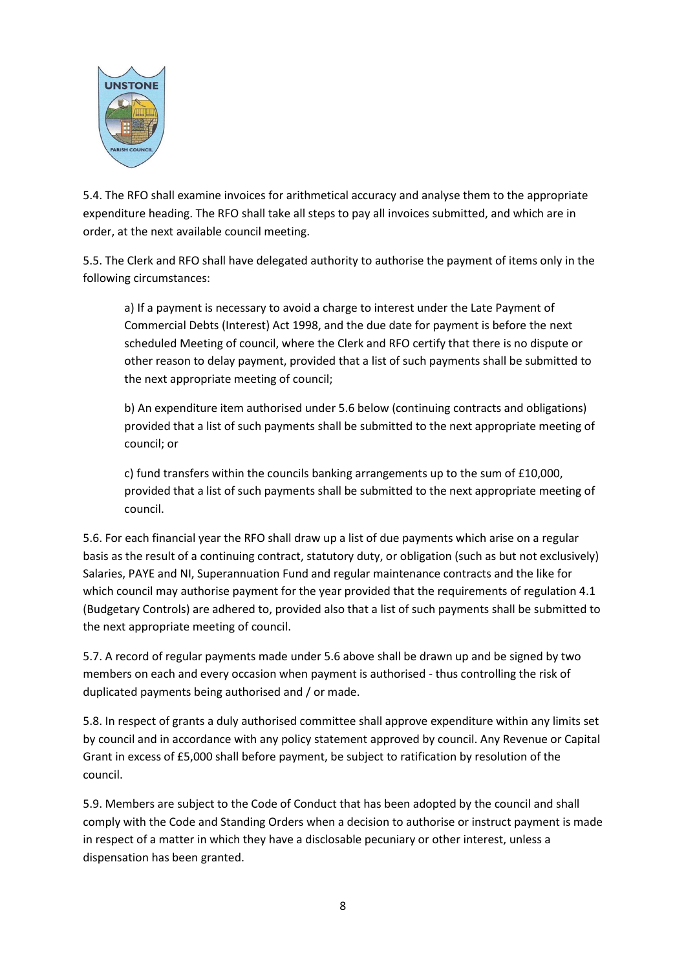

5.4. The RFO shall examine invoices for arithmetical accuracy and analyse them to the appropriate expenditure heading. The RFO shall take all steps to pay all invoices submitted, and which are in order, at the next available council meeting.

5.5. The Clerk and RFO shall have delegated authority to authorise the payment of items only in the following circumstances:

a) If a payment is necessary to avoid a charge to interest under the Late Payment of Commercial Debts (Interest) Act 1998, and the due date for payment is before the next scheduled Meeting of council, where the Clerk and RFO certify that there is no dispute or other reason to delay payment, provided that a list of such payments shall be submitted to the next appropriate meeting of council;

b) An expenditure item authorised under 5.6 below (continuing contracts and obligations) provided that a list of such payments shall be submitted to the next appropriate meeting of council; or

c) fund transfers within the councils banking arrangements up to the sum of £10,000, provided that a list of such payments shall be submitted to the next appropriate meeting of council.

5.6. For each financial year the RFO shall draw up a list of due payments which arise on a regular basis as the result of a continuing contract, statutory duty, or obligation (such as but not exclusively) Salaries, PAYE and NI, Superannuation Fund and regular maintenance contracts and the like for which council may authorise payment for the year provided that the requirements of regulation 4.1 (Budgetary Controls) are adhered to, provided also that a list of such payments shall be submitted to the next appropriate meeting of council.

5.7. A record of regular payments made under 5.6 above shall be drawn up and be signed by two members on each and every occasion when payment is authorised - thus controlling the risk of duplicated payments being authorised and / or made.

5.8. In respect of grants a duly authorised committee shall approve expenditure within any limits set by council and in accordance with any policy statement approved by council. Any Revenue or Capital Grant in excess of £5,000 shall before payment, be subject to ratification by resolution of the council.

5.9. Members are subject to the Code of Conduct that has been adopted by the council and shall comply with the Code and Standing Orders when a decision to authorise or instruct payment is made in respect of a matter in which they have a disclosable pecuniary or other interest, unless a dispensation has been granted.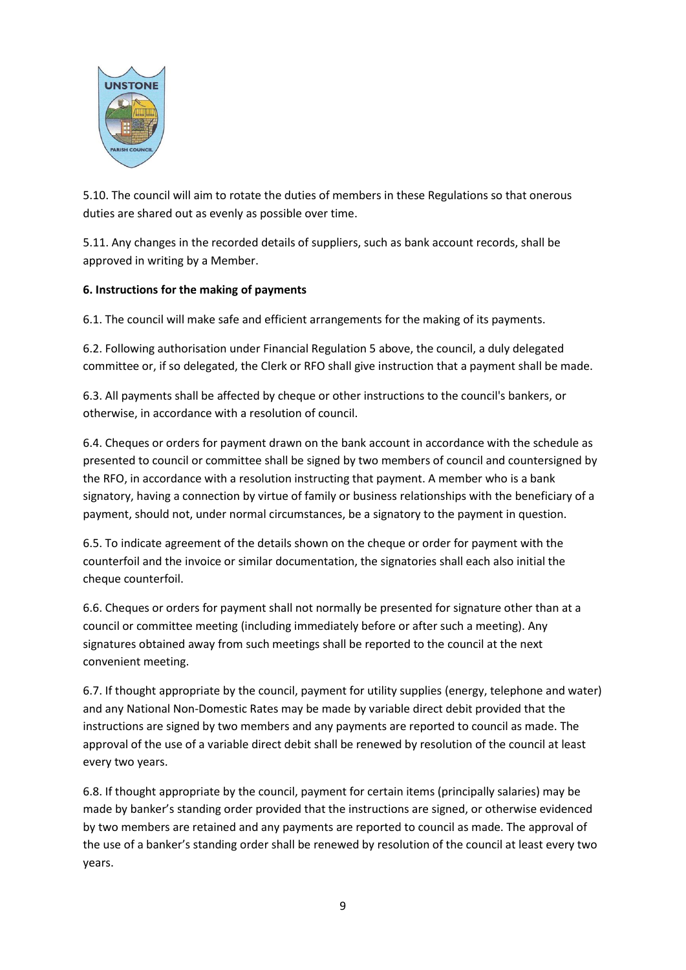

5.10. The council will aim to rotate the duties of members in these Regulations so that onerous duties are shared out as evenly as possible over time.

5.11. Any changes in the recorded details of suppliers, such as bank account records, shall be approved in writing by a Member.

## **6. Instructions for the making of payments**

6.1. The council will make safe and efficient arrangements for the making of its payments.

6.2. Following authorisation under Financial Regulation 5 above, the council, a duly delegated committee or, if so delegated, the Clerk or RFO shall give instruction that a payment shall be made.

6.3. All payments shall be affected by cheque or other instructions to the council's bankers, or otherwise, in accordance with a resolution of council.

6.4. Cheques or orders for payment drawn on the bank account in accordance with the schedule as presented to council or committee shall be signed by two members of council and countersigned by the RFO, in accordance with a resolution instructing that payment. A member who is a bank signatory, having a connection by virtue of family or business relationships with the beneficiary of a payment, should not, under normal circumstances, be a signatory to the payment in question.

6.5. To indicate agreement of the details shown on the cheque or order for payment with the counterfoil and the invoice or similar documentation, the signatories shall each also initial the cheque counterfoil.

6.6. Cheques or orders for payment shall not normally be presented for signature other than at a council or committee meeting (including immediately before or after such a meeting). Any signatures obtained away from such meetings shall be reported to the council at the next convenient meeting.

6.7. If thought appropriate by the council, payment for utility supplies (energy, telephone and water) and any National Non-Domestic Rates may be made by variable direct debit provided that the instructions are signed by two members and any payments are reported to council as made. The approval of the use of a variable direct debit shall be renewed by resolution of the council at least every two years.

6.8. If thought appropriate by the council, payment for certain items (principally salaries) may be made by banker's standing order provided that the instructions are signed, or otherwise evidenced by two members are retained and any payments are reported to council as made. The approval of the use of a banker's standing order shall be renewed by resolution of the council at least every two years.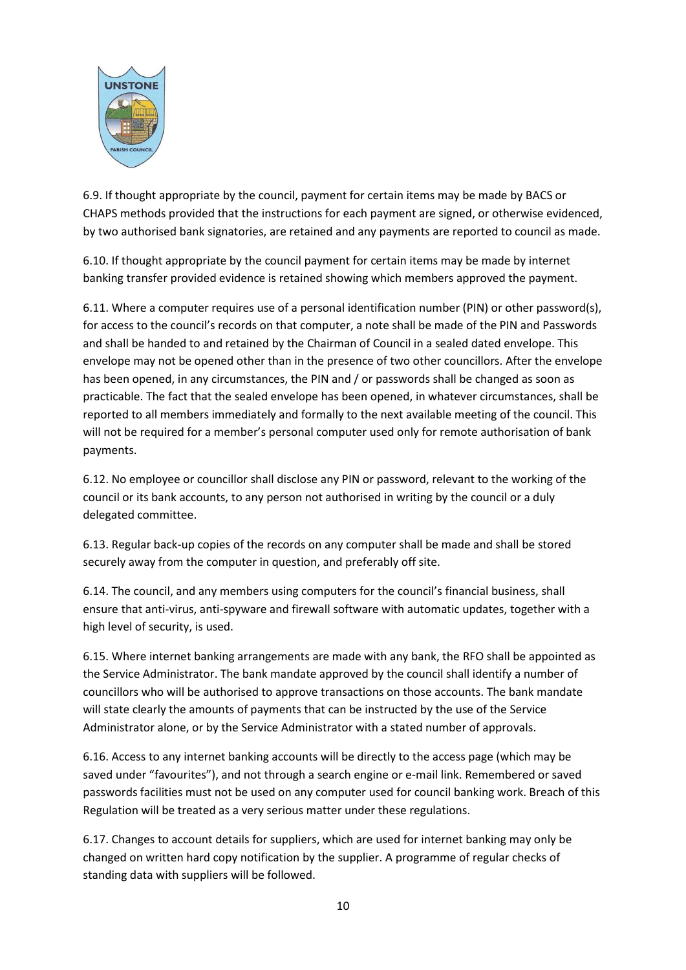

6.9. If thought appropriate by the council, payment for certain items may be made by BACS or CHAPS methods provided that the instructions for each payment are signed, or otherwise evidenced, by two authorised bank signatories, are retained and any payments are reported to council as made.

6.10. If thought appropriate by the council payment for certain items may be made by internet banking transfer provided evidence is retained showing which members approved the payment.

6.11. Where a computer requires use of a personal identification number (PIN) or other password(s), for access to the council's records on that computer, a note shall be made of the PIN and Passwords and shall be handed to and retained by the Chairman of Council in a sealed dated envelope. This envelope may not be opened other than in the presence of two other councillors. After the envelope has been opened, in any circumstances, the PIN and / or passwords shall be changed as soon as practicable. The fact that the sealed envelope has been opened, in whatever circumstances, shall be reported to all members immediately and formally to the next available meeting of the council. This will not be required for a member's personal computer used only for remote authorisation of bank payments.

6.12. No employee or councillor shall disclose any PIN or password, relevant to the working of the council or its bank accounts, to any person not authorised in writing by the council or a duly delegated committee.

6.13. Regular back-up copies of the records on any computer shall be made and shall be stored securely away from the computer in question, and preferably off site.

6.14. The council, and any members using computers for the council's financial business, shall ensure that anti-virus, anti-spyware and firewall software with automatic updates, together with a high level of security, is used.

6.15. Where internet banking arrangements are made with any bank, the RFO shall be appointed as the Service Administrator. The bank mandate approved by the council shall identify a number of councillors who will be authorised to approve transactions on those accounts. The bank mandate will state clearly the amounts of payments that can be instructed by the use of the Service Administrator alone, or by the Service Administrator with a stated number of approvals.

6.16. Access to any internet banking accounts will be directly to the access page (which may be saved under "favourites"), and not through a search engine or e-mail link. Remembered or saved passwords facilities must not be used on any computer used for council banking work. Breach of this Regulation will be treated as a very serious matter under these regulations.

6.17. Changes to account details for suppliers, which are used for internet banking may only be changed on written hard copy notification by the supplier. A programme of regular checks of standing data with suppliers will be followed.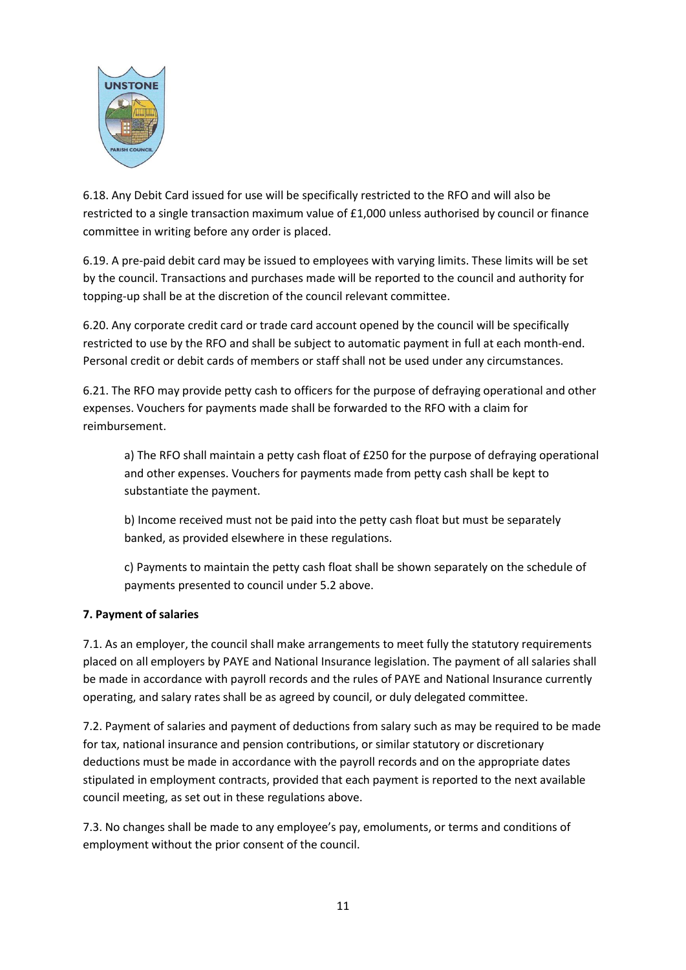

6.18. Any Debit Card issued for use will be specifically restricted to the RFO and will also be restricted to a single transaction maximum value of £1,000 unless authorised by council or finance committee in writing before any order is placed.

6.19. A pre-paid debit card may be issued to employees with varying limits. These limits will be set by the council. Transactions and purchases made will be reported to the council and authority for topping-up shall be at the discretion of the council relevant committee.

6.20. Any corporate credit card or trade card account opened by the council will be specifically restricted to use by the RFO and shall be subject to automatic payment in full at each month-end. Personal credit or debit cards of members or staff shall not be used under any circumstances.

6.21. The RFO may provide petty cash to officers for the purpose of defraying operational and other expenses. Vouchers for payments made shall be forwarded to the RFO with a claim for reimbursement.

a) The RFO shall maintain a petty cash float of £250 for the purpose of defraying operational and other expenses. Vouchers for payments made from petty cash shall be kept to substantiate the payment.

b) Income received must not be paid into the petty cash float but must be separately banked, as provided elsewhere in these regulations.

c) Payments to maintain the petty cash float shall be shown separately on the schedule of payments presented to council under 5.2 above.

# **7. Payment of salaries**

7.1. As an employer, the council shall make arrangements to meet fully the statutory requirements placed on all employers by PAYE and National Insurance legislation. The payment of all salaries shall be made in accordance with payroll records and the rules of PAYE and National Insurance currently operating, and salary rates shall be as agreed by council, or duly delegated committee.

7.2. Payment of salaries and payment of deductions from salary such as may be required to be made for tax, national insurance and pension contributions, or similar statutory or discretionary deductions must be made in accordance with the payroll records and on the appropriate dates stipulated in employment contracts, provided that each payment is reported to the next available council meeting, as set out in these regulations above.

7.3. No changes shall be made to any employee's pay, emoluments, or terms and conditions of employment without the prior consent of the council.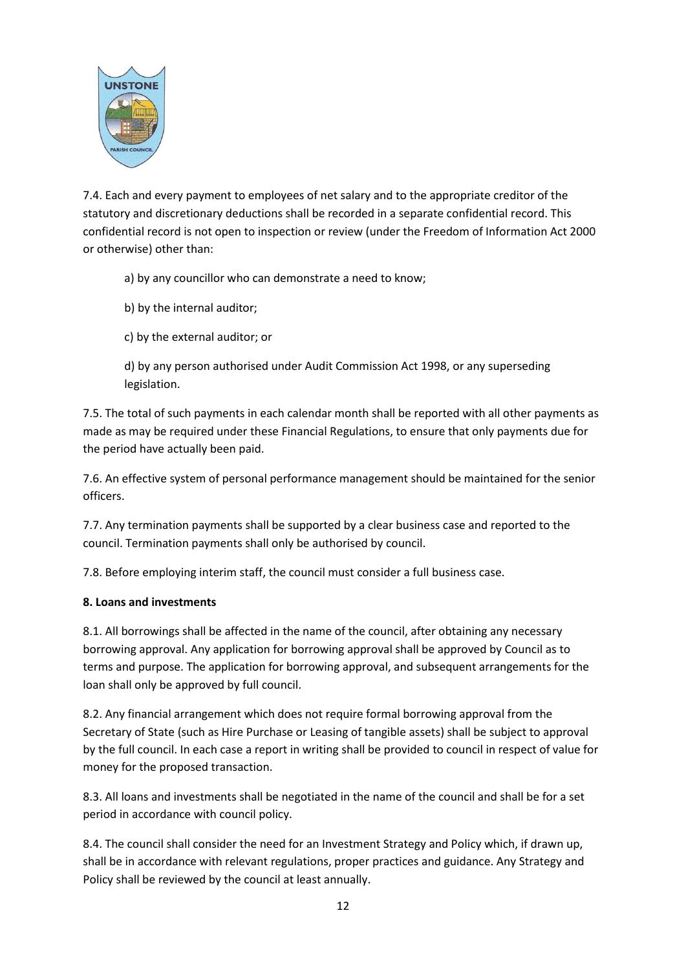

7.4. Each and every payment to employees of net salary and to the appropriate creditor of the statutory and discretionary deductions shall be recorded in a separate confidential record. This confidential record is not open to inspection or review (under the Freedom of Information Act 2000 or otherwise) other than:

a) by any councillor who can demonstrate a need to know;

b) by the internal auditor;

c) by the external auditor; or

d) by any person authorised under Audit Commission Act 1998, or any superseding legislation.

7.5. The total of such payments in each calendar month shall be reported with all other payments as made as may be required under these Financial Regulations, to ensure that only payments due for the period have actually been paid.

7.6. An effective system of personal performance management should be maintained for the senior officers.

7.7. Any termination payments shall be supported by a clear business case and reported to the council. Termination payments shall only be authorised by council.

7.8. Before employing interim staff, the council must consider a full business case.

## **8. Loans and investments**

8.1. All borrowings shall be affected in the name of the council, after obtaining any necessary borrowing approval. Any application for borrowing approval shall be approved by Council as to terms and purpose. The application for borrowing approval, and subsequent arrangements for the loan shall only be approved by full council.

8.2. Any financial arrangement which does not require formal borrowing approval from the Secretary of State (such as Hire Purchase or Leasing of tangible assets) shall be subject to approval by the full council. In each case a report in writing shall be provided to council in respect of value for money for the proposed transaction.

8.3. All loans and investments shall be negotiated in the name of the council and shall be for a set period in accordance with council policy.

8.4. The council shall consider the need for an Investment Strategy and Policy which, if drawn up, shall be in accordance with relevant regulations, proper practices and guidance. Any Strategy and Policy shall be reviewed by the council at least annually.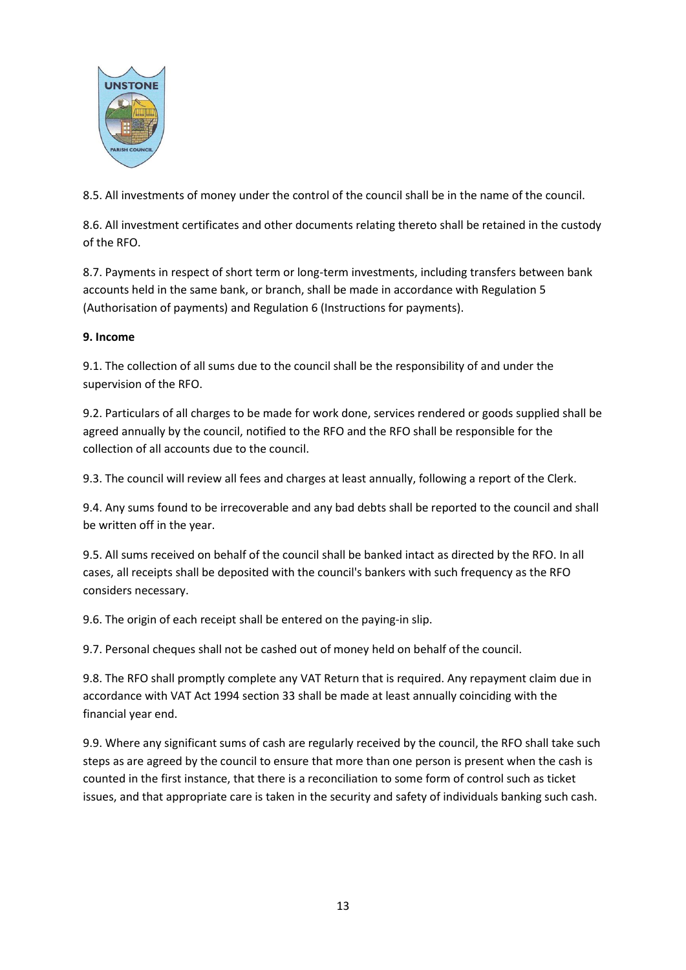

8.5. All investments of money under the control of the council shall be in the name of the council.

8.6. All investment certificates and other documents relating thereto shall be retained in the custody of the RFO.

8.7. Payments in respect of short term or long-term investments, including transfers between bank accounts held in the same bank, or branch, shall be made in accordance with Regulation 5 (Authorisation of payments) and Regulation 6 (Instructions for payments).

## **9. Income**

9.1. The collection of all sums due to the council shall be the responsibility of and under the supervision of the RFO.

9.2. Particulars of all charges to be made for work done, services rendered or goods supplied shall be agreed annually by the council, notified to the RFO and the RFO shall be responsible for the collection of all accounts due to the council.

9.3. The council will review all fees and charges at least annually, following a report of the Clerk.

9.4. Any sums found to be irrecoverable and any bad debts shall be reported to the council and shall be written off in the year.

9.5. All sums received on behalf of the council shall be banked intact as directed by the RFO. In all cases, all receipts shall be deposited with the council's bankers with such frequency as the RFO considers necessary.

9.6. The origin of each receipt shall be entered on the paying-in slip.

9.7. Personal cheques shall not be cashed out of money held on behalf of the council.

9.8. The RFO shall promptly complete any VAT Return that is required. Any repayment claim due in accordance with VAT Act 1994 section 33 shall be made at least annually coinciding with the financial year end.

9.9. Where any significant sums of cash are regularly received by the council, the RFO shall take such steps as are agreed by the council to ensure that more than one person is present when the cash is counted in the first instance, that there is a reconciliation to some form of control such as ticket issues, and that appropriate care is taken in the security and safety of individuals banking such cash.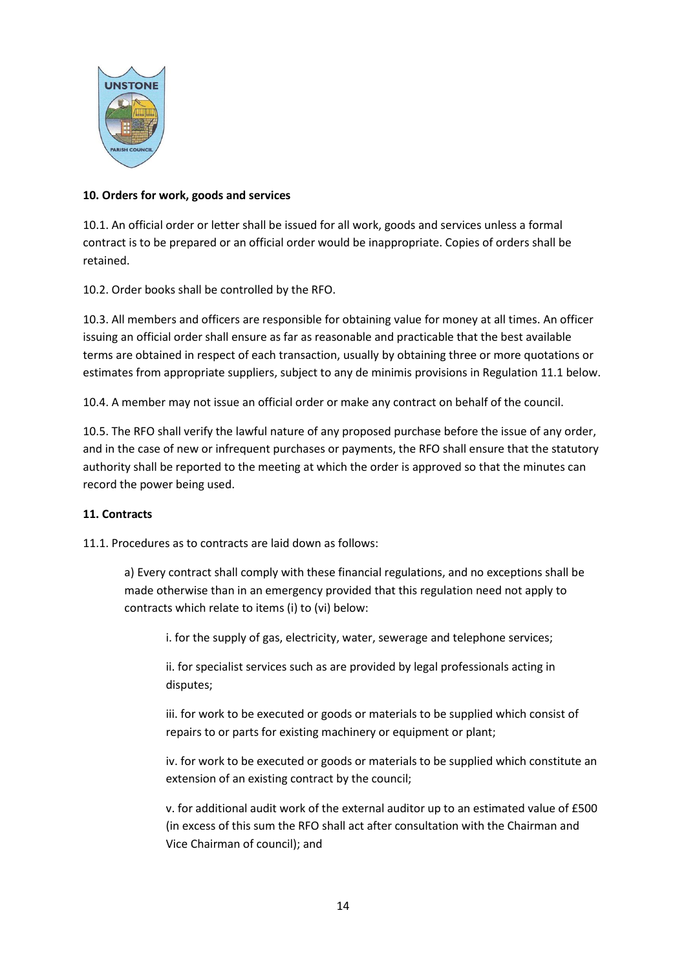

## **10. Orders for work, goods and services**

10.1. An official order or letter shall be issued for all work, goods and services unless a formal contract is to be prepared or an official order would be inappropriate. Copies of orders shall be retained.

10.2. Order books shall be controlled by the RFO.

10.3. All members and officers are responsible for obtaining value for money at all times. An officer issuing an official order shall ensure as far as reasonable and practicable that the best available terms are obtained in respect of each transaction, usually by obtaining three or more quotations or estimates from appropriate suppliers, subject to any de minimis provisions in Regulation 11.1 below.

10.4. A member may not issue an official order or make any contract on behalf of the council.

10.5. The RFO shall verify the lawful nature of any proposed purchase before the issue of any order, and in the case of new or infrequent purchases or payments, the RFO shall ensure that the statutory authority shall be reported to the meeting at which the order is approved so that the minutes can record the power being used.

## **11. Contracts**

11.1. Procedures as to contracts are laid down as follows:

a) Every contract shall comply with these financial regulations, and no exceptions shall be made otherwise than in an emergency provided that this regulation need not apply to contracts which relate to items (i) to (vi) below:

i. for the supply of gas, electricity, water, sewerage and telephone services;

ii. for specialist services such as are provided by legal professionals acting in disputes;

iii. for work to be executed or goods or materials to be supplied which consist of repairs to or parts for existing machinery or equipment or plant;

iv. for work to be executed or goods or materials to be supplied which constitute an extension of an existing contract by the council;

v. for additional audit work of the external auditor up to an estimated value of £500 (in excess of this sum the RFO shall act after consultation with the Chairman and Vice Chairman of council); and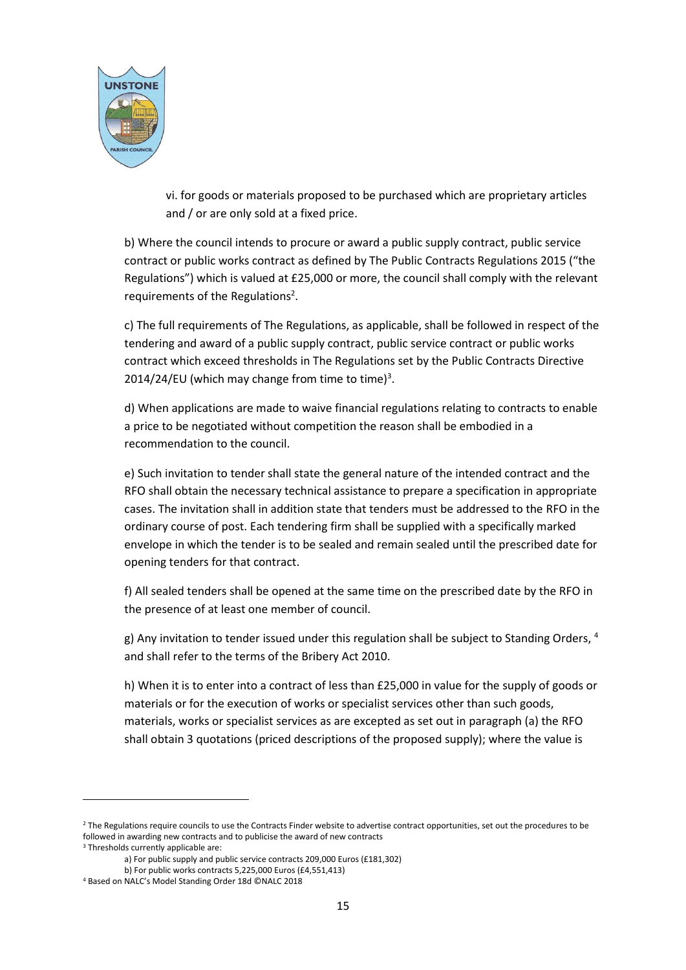

vi. for goods or materials proposed to be purchased which are proprietary articles and / or are only sold at a fixed price.

b) Where the council intends to procure or award a public supply contract, public service contract or public works contract as defined by The Public Contracts Regulations 2015 ("the Regulations") which is valued at £25,000 or more, the council shall comply with the relevant requirements of the Regulations<sup>2</sup>.

c) The full requirements of The Regulations, as applicable, shall be followed in respect of the tendering and award of a public supply contract, public service contract or public works contract which exceed thresholds in The Regulations set by the Public Contracts Directive 2014/24/EU (which may change from time to time)<sup>3</sup>.

d) When applications are made to waive financial regulations relating to contracts to enable a price to be negotiated without competition the reason shall be embodied in a recommendation to the council.

e) Such invitation to tender shall state the general nature of the intended contract and the RFO shall obtain the necessary technical assistance to prepare a specification in appropriate cases. The invitation shall in addition state that tenders must be addressed to the RFO in the ordinary course of post. Each tendering firm shall be supplied with a specifically marked envelope in which the tender is to be sealed and remain sealed until the prescribed date for opening tenders for that contract.

f) All sealed tenders shall be opened at the same time on the prescribed date by the RFO in the presence of at least one member of council.

g) Any invitation to tender issued under this regulation shall be subject to Standing Orders, 4 and shall refer to the terms of the Bribery Act 2010.

h) When it is to enter into a contract of less than £25,000 in value for the supply of goods or materials or for the execution of works or specialist services other than such goods, materials, works or specialist services as are excepted as set out in paragraph (a) the RFO shall obtain 3 quotations (priced descriptions of the proposed supply); where the value is

<sup>&</sup>lt;sup>2</sup> The Regulations require councils to use the Contracts Finder website to advertise contract opportunities, set out the procedures to be followed in awarding new contracts and to publicise the award of new contracts <sup>3</sup> Thresholds currently applicable are:

a) For public supply and public service contracts 209,000 Euros (£181,302)

b) For public works contracts 5,225,000 Euros (£4,551,413)

<sup>4</sup> Based on NALC's Model Standing Order 18d ©NALC 2018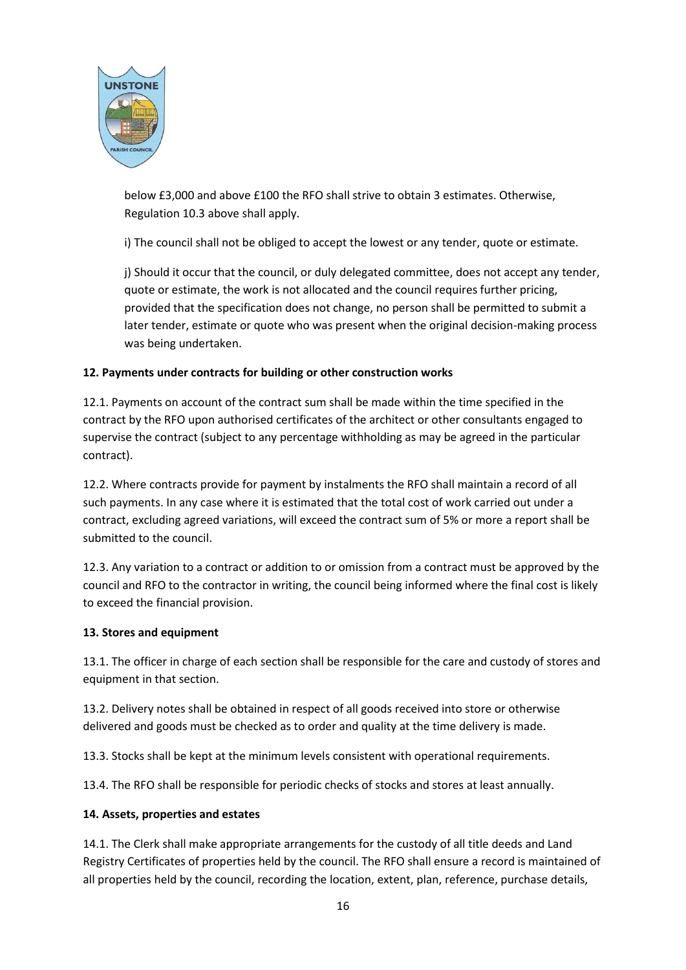

below £3,000 and above £100 the RFO shall strive to obtain 3 estimates. Otherwise, Regulation 10.3 above shall apply.

i) The council shall not be obliged to accept the lowest or any tender, quote or estimate.

j) Should it occur that the council, or duly delegated committee, does not accept any tender, quote or estimate, the work is not allocated and the council requires further pricing, provided that the specification does not change, no person shall be permitted to submit a later tender, estimate or quote who was present when the original decision-making process was being undertaken.

## **12. Payments under contracts for building or other construction works**

12.1. Payments on account of the contract sum shall be made within the time specified in the contract by the RFO upon authorised certificates of the architect or other consultants engaged to supervise the contract (subject to any percentage withholding as may be agreed in the particular contract).

12.2. Where contracts provide for payment by instalments the RFO shall maintain a record of all such payments. In any case where it is estimated that the total cost of work carried out under a contract, excluding agreed variations, will exceed the contract sum of 5% or more a report shall be submitted to the council.

12.3. Any variation to a contract or addition to or omission from a contract must be approved by the council and RFO to the contractor in writing, the council being informed where the final cost is likely to exceed the financial provision.

## **13. Stores and equipment**

13.1. The officer in charge of each section shall be responsible for the care and custody of stores and equipment in that section.

13.2. Delivery notes shall be obtained in respect of all goods received into store or otherwise delivered and goods must be checked as to order and quality at the time delivery is made.

13.3. Stocks shall be kept at the minimum levels consistent with operational requirements.

13.4. The RFO shall be responsible for periodic checks of stocks and stores at least annually.

## **14. Assets, properties and estates**

14.1. The Clerk shall make appropriate arrangements for the custody of all title deeds and Land Registry Certificates of properties held by the council. The RFO shall ensure a record is maintained of all properties held by the council, recording the location, extent, plan, reference, purchase details,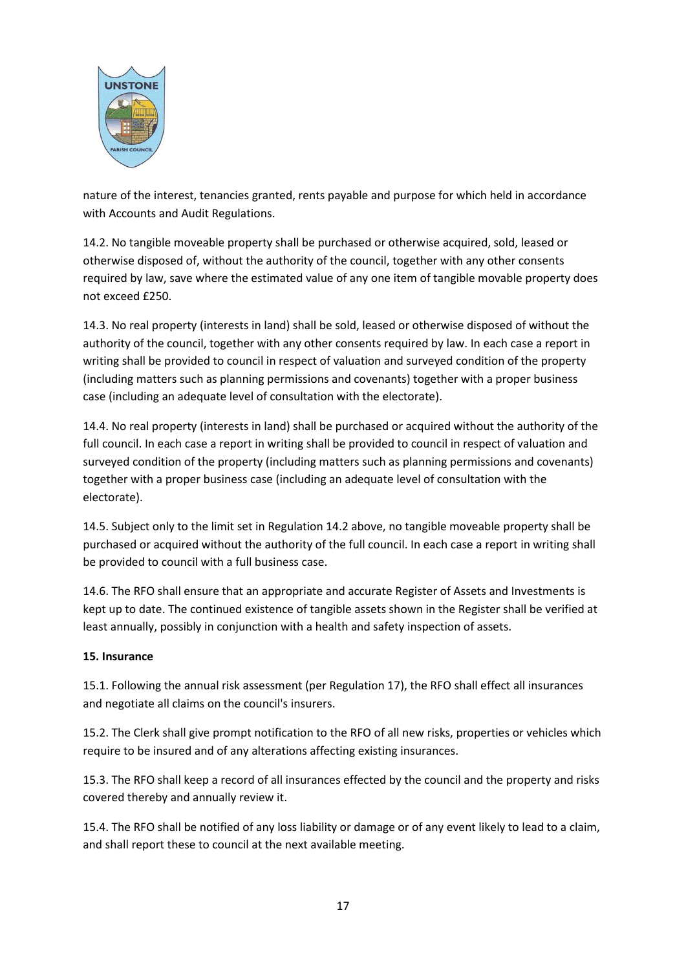

nature of the interest, tenancies granted, rents payable and purpose for which held in accordance with Accounts and Audit Regulations.

14.2. No tangible moveable property shall be purchased or otherwise acquired, sold, leased or otherwise disposed of, without the authority of the council, together with any other consents required by law, save where the estimated value of any one item of tangible movable property does not exceed £250.

14.3. No real property (interests in land) shall be sold, leased or otherwise disposed of without the authority of the council, together with any other consents required by law. In each case a report in writing shall be provided to council in respect of valuation and surveyed condition of the property (including matters such as planning permissions and covenants) together with a proper business case (including an adequate level of consultation with the electorate).

14.4. No real property (interests in land) shall be purchased or acquired without the authority of the full council. In each case a report in writing shall be provided to council in respect of valuation and surveyed condition of the property (including matters such as planning permissions and covenants) together with a proper business case (including an adequate level of consultation with the electorate).

14.5. Subject only to the limit set in Regulation 14.2 above, no tangible moveable property shall be purchased or acquired without the authority of the full council. In each case a report in writing shall be provided to council with a full business case.

14.6. The RFO shall ensure that an appropriate and accurate Register of Assets and Investments is kept up to date. The continued existence of tangible assets shown in the Register shall be verified at least annually, possibly in conjunction with a health and safety inspection of assets.

## **15. Insurance**

15.1. Following the annual risk assessment (per Regulation 17), the RFO shall effect all insurances and negotiate all claims on the council's insurers.

15.2. The Clerk shall give prompt notification to the RFO of all new risks, properties or vehicles which require to be insured and of any alterations affecting existing insurances.

15.3. The RFO shall keep a record of all insurances effected by the council and the property and risks covered thereby and annually review it.

15.4. The RFO shall be notified of any loss liability or damage or of any event likely to lead to a claim, and shall report these to council at the next available meeting.